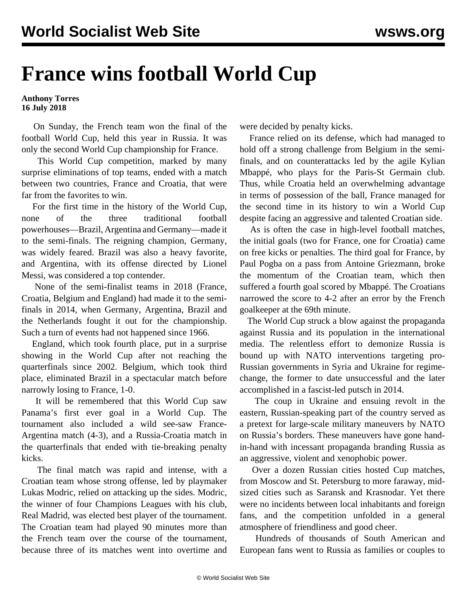## **France wins football World Cup**

**Anthony Torres 16 July 2018**

 On Sunday, the French team won the final of the football World Cup, held this year in Russia. It was only the second World Cup championship for France.

 This World Cup competition, marked by many surprise eliminations of top teams, ended with a match between two countries, France and Croatia, that were far from the favorites to win.

 For the first time in the history of the World Cup, none of the three traditional football powerhouses—Brazil, Argentina and Germany—made it to the semi-finals. The reigning champion, Germany, was widely feared. Brazil was also a heavy favorite, and Argentina, with its offense directed by Lionel Messi, was considered a top contender.

 None of the semi-finalist teams in 2018 (France, Croatia, Belgium and England) had made it to the semifinals in 2014, when Germany, Argentina, Brazil and the Netherlands fought it out for the championship. Such a turn of events had not happened since 1966.

 England, which took fourth place, put in a surprise showing in the World Cup after not reaching the quarterfinals since 2002. Belgium, which took third place, eliminated Brazil in a spectacular match before narrowly losing to France, 1-0.

 It will be remembered that this World Cup saw Panama's first ever goal in a World Cup. The tournament also included a wild see-saw France-Argentina match (4-3), and a Russia-Croatia match in the quarterfinals that ended with tie-breaking penalty kicks.

 The final match was rapid and intense, with a Croatian team whose strong offense, led by playmaker Lukas Modric, relied on attacking up the sides. Modric, the winner of four Champions Leagues with his club, Real Madrid, was elected best player of the tournament. The Croatian team had played 90 minutes more than the French team over the course of the tournament, because three of its matches went into overtime and were decided by penalty kicks.

 France relied on its defense, which had managed to hold off a strong challenge from Belgium in the semifinals, and on counterattacks led by the agile Kylian Mbappé, who plays for the Paris-St Germain club. Thus, while Croatia held an overwhelming advantage in terms of possession of the ball, France managed for the second time in its history to win a World Cup despite facing an aggressive and talented Croatian side.

 As is often the case in high-level football matches, the initial [goals](https://www.lequipe.fr/Football/Actualites/Tous-les-buts-de-la-finale-france-croatie-en-video/923059&sa=U&ved=0ahUKEwjLn97C4qHcAhUH6KQKHQQ3DUEQqQIIFzAA&usg=AOvVaw3ZH7Omsz3eLb7v_p9_2_2v) (two for France, one for Croatia) came on free kicks or penalties. The third goal for France, by Paul Pogba on a pass from Antoine Griezmann, broke the momentum of the Croatian team, which then suffered a fourth goal scored by Mbappé. The Croatians narrowed the score to 4-2 after an error by the French goalkeeper at the 69th minute.

 The World Cup struck a blow against the propaganda against Russia and its population in the international media. The relentless effort to demonize Russia is bound up with NATO interventions targeting pro-Russian governments in Syria and Ukraine for regimechange, the former to date unsuccessful and the later accomplished in a fascist-led putsch in 2014.

 The coup in Ukraine and ensuing revolt in the eastern, Russian-speaking part of the country served as a pretext for large-scale military maneuvers by NATO on Russia's borders. These maneuvers have gone handin-hand with incessant propaganda branding Russia as an aggressive, violent and xenophobic power.

 Over a dozen Russian cities hosted Cup matches, from Moscow and St. Petersburg to more faraway, midsized cities such as Saransk and Krasnodar. Yet there were no incidents between local inhabitants and foreign fans, and the competition unfolded in a general atmosphere of friendliness and good cheer.

 Hundreds of thousands of South American and European fans went to Russia as families or couples to